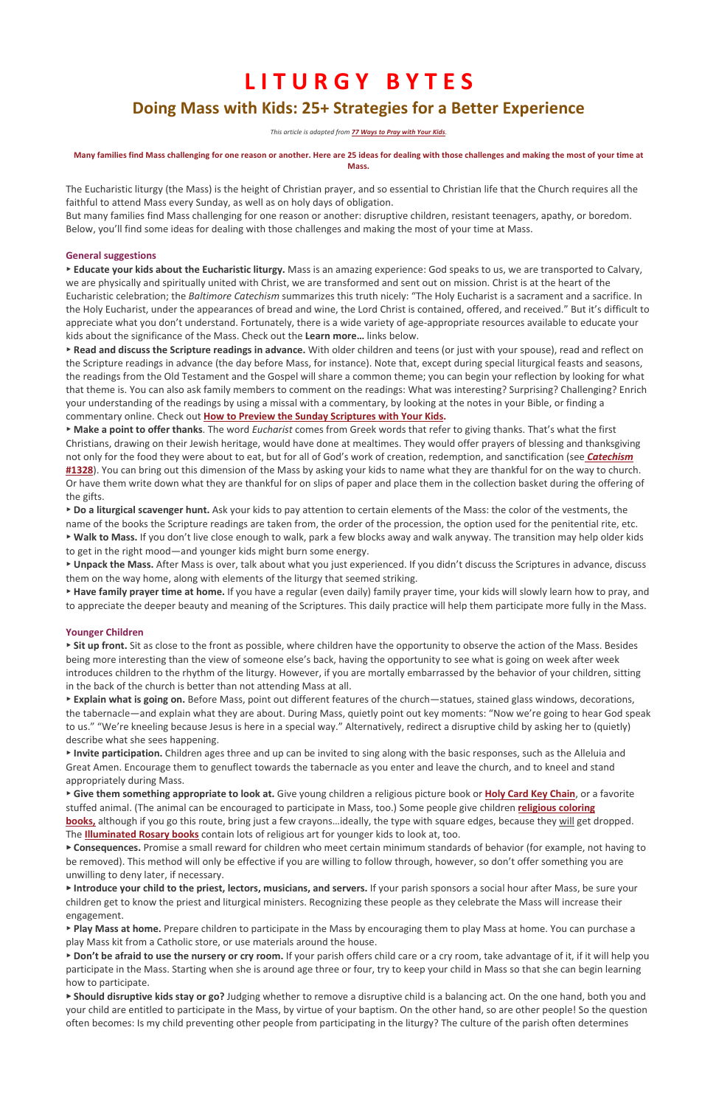# **LITURGY BYTES Doing Mass with Kids: 25+ Strategies for a Better Experience**

This article is adapted from **77 Ways to Pray with Your Kids**.

#### Many families find Mass challenging for one reason or another. Here are 25 ideas for dealing with those challenges and making the most of your time at **Mass.**

The Eucharistic liturgy (the Mass) is the height of Christian prayer, and so essential to Christian life that the Church requires all the faithful to attend Mass every Sunday, as well as on holy days of obligation.

But many families find Mass challenging for one reason or another: disruptive children, resistant teenagers, apathy, or boredom. Below, you'll find some ideas for dealing with those challenges and making the most of your time at Mass.

## **General suggestions**

► **Educate your kids about the Eucharistic liturgy.** Mass is an amazing experience: God speaks to us, we are transported to Calvary, we are physically and spiritually united with Christ, we are transformed and sent out on mission. Christ is at the heart of the Eucharistic celebration; the *Baltimore Catechism* summarizes this truth nicely: "The Holy Eucharist is a sacrament and a sacrifice. In the Holy Eucharist, under the appearances of bread and wine, the Lord Christ is contained, offered, and received." But it's difficult to appreciate what you don't understand. Fortunately, there is a wide variety of age-appropriate resources available to educate your kids about the significance of the Mass. Check out the Learn more... links below.

► Read and discuss the Scripture readings in advance. With older children and teens (or just with your spouse), read and reflect on the Scripture readings in advance (the day before Mass, for instance). Note that, except during special liturgical feasts and seasons, the readings from the Old Testament and the Gospel will share a common theme; you can begin your reflection by looking for what that theme is. You can also ask family members to comment on the readings: What was interesting? Surprising? Challenging? Enrich your understanding of the readings by using a missal with a commentary, by looking at the notes in your Bible, or finding a commentary online. Check out **How to Preview the Sunday Scriptures with Your Kids.** 

► Make a point to offer thanks. The word *Eucharist* comes from Greek words that refer to giving thanks. That's what the first Christians, drawing on their Jewish heritage, would have done at mealtimes. They would offer prayers of blessing and thanksgiving not only for the food they were about to eat, but for all of God's work of creation, redemption, and sanctification (see **Catechism #1328**). You can bring out this dimension of the Mass by asking your kids to name what they are thankful for on the way to church. Or have them write down what they are thankful for on slips of paper and place them in the collection basket during the offering of the gifts.

► Do a liturgical scavenger hunt. Ask your kids to pay attention to certain elements of the Mass: the color of the vestments, the name of the books the Scripture readings are taken from, the order of the procession, the option used for the penitential rite, etc. ► Walk to Mass. If you don't live close enough to walk, park a few blocks away and walk anyway. The transition may help older kids

to get in the right mood—and younger kids might burn some energy.

► Unpack the Mass. After Mass is over, talk about what you just experienced. If you didn't discuss the Scriptures in advance, discuss them on the way home, along with elements of the liturgy that seemed striking.

► Have family prayer time at home. If you have a regular (even daily) family prayer time, your kids will slowly learn how to pray, and to appreciate the deeper beauty and meaning of the Scriptures. This daily practice will help them participate more fully in the Mass.

► Introduce your child to the priest, lectors, musicians, and servers. If your parish sponsors a social hour after Mass, be sure your children get to know the priest and liturgical ministers. Recognizing these people as they celebrate the Mass will increase their engagement.

► Play Mass at home. Prepare children to participate in the Mass by encouraging them to play Mass at home. You can purchase a play Mass kit from a Catholic store, or use materials around the house.

► Don't be afraid to use the nursery or cry room. If your parish offers child care or a cry room, take advantage of it, if it will help you participate in the Mass. Starting when she is around age three or four, try to keep your child in Mass so that she can begin learning how to participate.

► Should disruptive kids stay or go? Judging whether to remove a disruptive child is a balancing act. On the one hand, both you and your child are entitled to participate in the Mass, by virtue of your baptism. On the other hand, so are other people! So the question often becomes: Is my child preventing other people from participating in the liturgy? The culture of the parish often determines

## **Younger Children**

► Sit up front. Sit as close to the front as possible, where children have the opportunity to observe the action of the Mass. Besides being more interesting than the view of someone else's back, having the opportunity to see what is going on week after week introduces children to the rhythm of the liturgy. However, if you are mortally embarrassed by the behavior of your children, sitting in the back of the church is better than not attending Mass at all.

► Explain what is going on. Before Mass, point out different features of the church—statues, stained glass windows, decorations, the tabernacle—and explain what they are about. During Mass, quietly point out key moments: "Now we're going to hear God speak to us." "We're kneeling because Jesus is here in a special way." Alternatively, redirect a disruptive child by asking her to (quietly) describe what she sees happening.

► Invite participation. Children ages three and up can be invited to sing along with the basic responses, such as the Alleluia and Great Amen. Encourage them to genuflect towards the tabernacle as you enter and leave the church, and to kneel and stand appropriately during Mass.

► Give them something appropriate to look at. Give young children a religious picture book or Holy Card Key Chain, or a favorite stuffed animal. (The animal can be encouraged to participate in Mass, too.) Some people give children *religious coloring* 

**books**, although if you go this route, bring just a few crayons…ideally, the type with square edges, because they will get dropped. The **Illuminated Rosary books** contain lots of religious art for younger kids to look at, too.

► Consequences. Promise a small reward for children who meet certain minimum standards of behavior (for example, not having to be removed). This method will only be effective if you are willing to follow through, however, so don't offer something you are unwilling to deny later, if necessary.